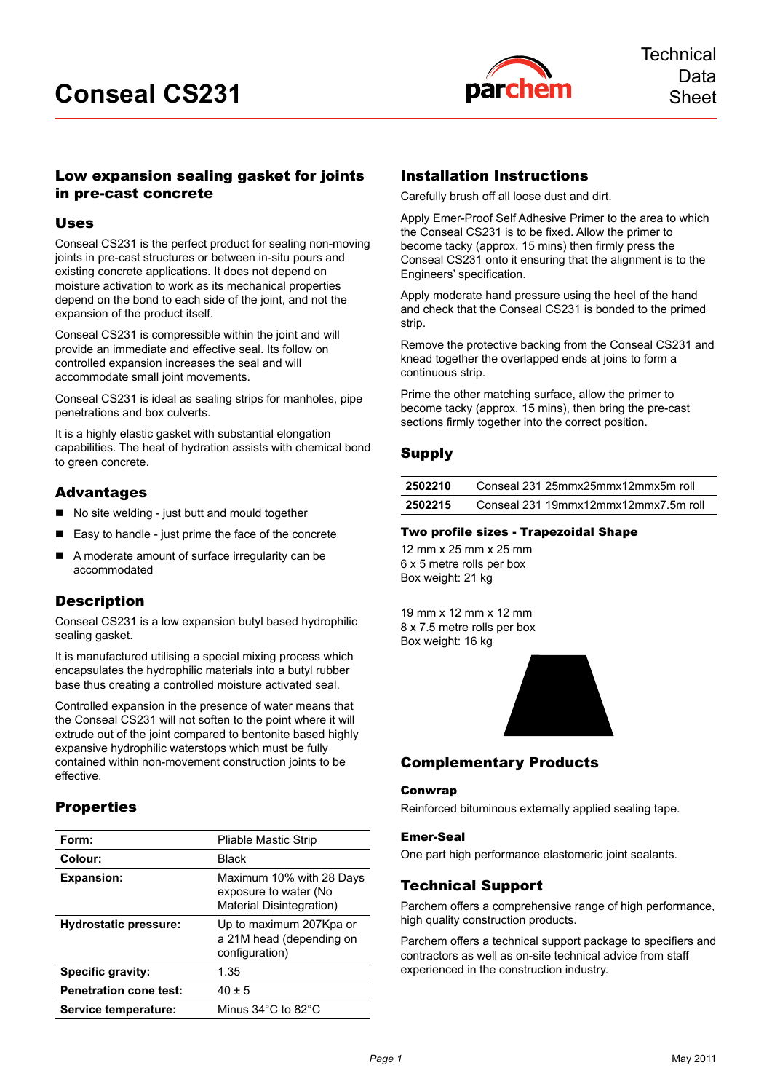

## Low expansion sealing gasket for joints in pre-cast concrete

### Uses

Conseal CS231 is the perfect product for sealing non-moving joints in pre-cast structures or between in-situ pours and existing concrete applications. It does not depend on moisture activation to work as its mechanical properties depend on the bond to each side of the joint, and not the expansion of the product itself.

Conseal CS231 is compressible within the joint and will provide an immediate and effective seal. Its follow on controlled expansion increases the seal and will accommodate small joint movements.

Conseal CS231 is ideal as sealing strips for manholes, pipe penetrations and box culverts.

It is a highly elastic gasket with substantial elongation capabilities. The heat of hydration assists with chemical bond to green concrete.

## Advantages

- No site welding just butt and mould together
- Easy to handle just prime the face of the concrete
- A moderate amount of surface irregularity can be accommodated

## **Description**

Conseal CS231 is a low expansion butyl based hydrophilic sealing gasket.

It is manufactured utilising a special mixing process which encapsulates the hydrophilic materials into a butyl rubber base thus creating a controlled moisture activated seal.

Controlled expansion in the presence of water means that the Conseal CS231 will not soften to the point where it will extrude out of the joint compared to bentonite based highly expansive hydrophilic waterstops which must be fully contained within non-movement construction joints to be effective.

# **Properties**

| Form:                         | <b>Pliable Mastic Strip</b>                                                   |
|-------------------------------|-------------------------------------------------------------------------------|
| Colour:                       | Black                                                                         |
| <b>Expansion:</b>             | Maximum 10% with 28 Days<br>exposure to water (No<br>Material Disintegration) |
| <b>Hydrostatic pressure:</b>  | Up to maximum 207Kpa or<br>a 21M head (depending on<br>configuration)         |
| Specific gravity:             | 1.35                                                                          |
| <b>Penetration cone test:</b> | $40 \pm 5$                                                                    |
| Service temperature:          | Minus 34°C to 82°C                                                            |

## Installation Instructions

Carefully brush off all loose dust and dirt.

Apply Emer-Proof Self Adhesive Primer to the area to which the Conseal CS231 is to be fixed. Allow the primer to become tacky (approx. 15 mins) then firmly press the Conseal CS231 onto it ensuring that the alignment is to the Engineers' specification.

Apply moderate hand pressure using the heel of the hand and check that the Conseal CS231 is bonded to the primed strip.

Remove the protective backing from the Conseal CS231 and knead together the overlapped ends at joins to form a continuous strip.

Prime the other matching surface, allow the primer to become tacky (approx. 15 mins), then bring the pre-cast sections firmly together into the correct position.

### Supply

| 2502210 | Conseal 231 25mmx25mmx12mmx5m roll   |
|---------|--------------------------------------|
| 2502215 | Conseal 231 19mmx12mmx12mmx7.5m roll |

### Two profile sizes - Trapezoidal Shape

12 mm x 25 mm x 25 mm 6 x 5 metre rolls per box Box weight: 21 kg

19 mm x 12 mm x 12 mm 8 x 7.5 metre rolls per box Box weight: 16 kg



## Complementary Products

### Conwrap

Reinforced bituminous externally applied sealing tape.

### Emer-Seal

One part high performance elastomeric joint sealants.

## Technical Support

Parchem offers a comprehensive range of high performance, high quality construction products.

Parchem offers a technical support package to specifiers and contractors as well as on-site technical advice from staff experienced in the construction industry.